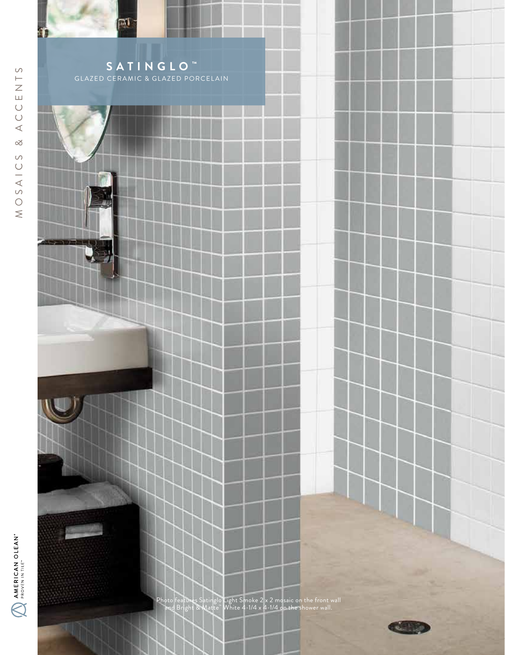



na



Photo features Satinglo Light Smoke 2 x 2 mosaic on the front wall and Bright & Matte™ White 4-1/4 x 4-1/4 on the shower wall.